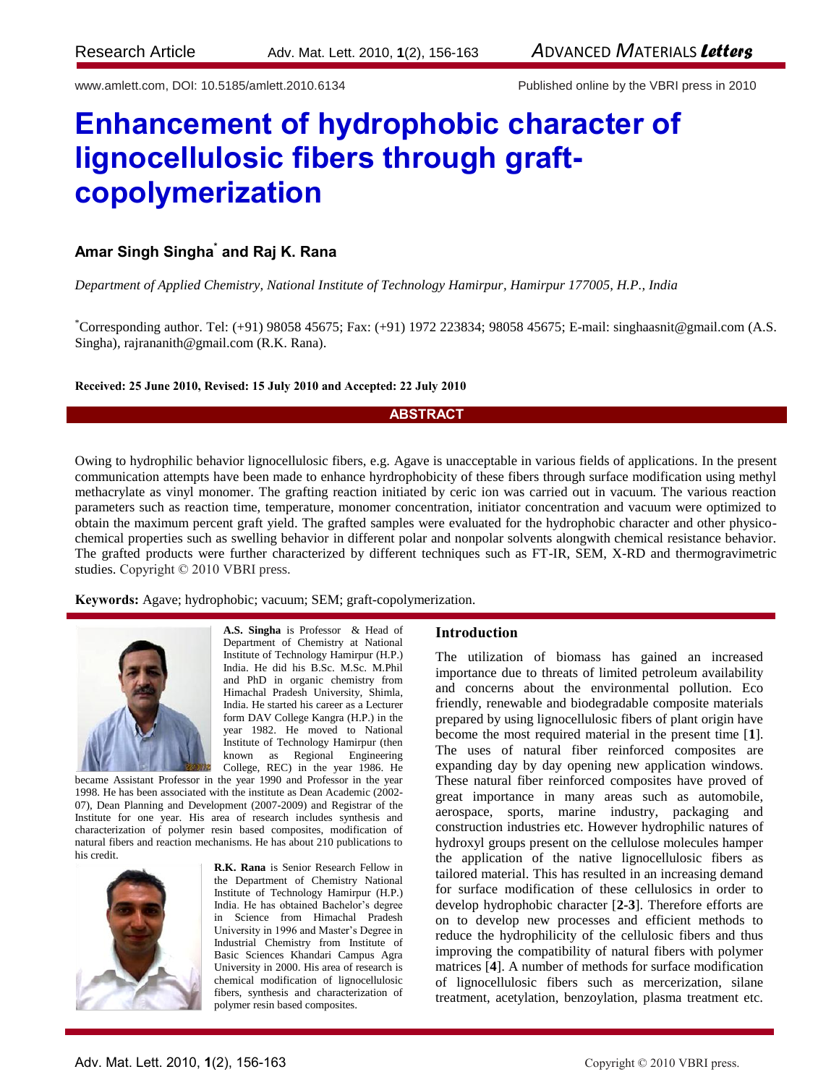www.amlett.com, DOI: 10.5185/amlett.2010.6134 Published online by the VBRI press in 2010

# **Enhancement of hydrophobic character of lignocellulosic fibers through graftcopolymerization**

# **Amar Singh Singha\* and Raj K. Rana**

*Department of Applied Chemistry, National Institute of Technology Hamirpur, Hamirpur 177005, H.P., India*

\*Corresponding author. Tel: (+91) 98058 45675; Fax: (+91) 1972 223834; 98058 45675; E-mail: [singhaasnit@gmail.com](mailto:singhaasnit@gmail.com) (A.S. Singha)[, rajrananith@gmail.com](mailto:rajrananith@gmail.com) (R.K. Rana).

# **Received: 25 June 2010, Revised: 15 July 2010 and Accepted: 22 July 2010**

# **ABSTRACT**

Owing to hydrophilic behavior lignocellulosic fibers, e.g. Agave is unacceptable in various fields of applications. In the present communication attempts have been made to enhance hyrdrophobicity of these fibers through surface modification using methyl methacrylate as vinyl monomer. The grafting reaction initiated by ceric ion was carried out in vacuum. The various reaction parameters such as reaction time, temperature, monomer concentration, initiator concentration and vacuum were optimized to obtain the maximum percent graft yield. The grafted samples were evaluated for the hydrophobic character and other physicochemical properties such as swelling behavior in different polar and nonpolar solvents alongwith chemical resistance behavior. The grafted products were further characterized by different techniques such as FT-IR, SEM, X-RD and thermogravimetric studies. Copyright © 2010 VBRI press.

**Keywords:** Agave; hydrophobic; vacuum; SEM; graft-copolymerization.



**A.S. Singha** is Professor & Head of Department of Chemistry at National Institute of Technology Hamirpur (H.P.) India. He did his B.Sc. M.Sc. M.Phil and PhD in organic chemistry from Himachal Pradesh University, Shimla, India. He started his career as a Lecturer form DAV College Kangra (H.P.) in the year 1982. He moved to National Institute of Technology Hamirpur (then known as Regional Engineering College, REC) in the year 1986. He

became Assistant Professor in the year 1990 and Professor in the year 1998. He has been associated with the institute as Dean Academic (2002- 07), Dean Planning and Development (2007-2009) and Registrar of the Institute for one year. His area of research includes synthesis and characterization of polymer resin based composites, modification of natural fibers and reaction mechanisms. He has about 210 publications to his credit.



**R.K. Rana** is Senior Research Fellow in the Department of Chemistry National Institute of Technology Hamirpur (H.P.) India. He has obtained Bachelor's degree in Science from Himachal Pradesh University in 1996 and Master's Degree in Industrial Chemistry from Institute of Basic Sciences Khandari Campus Agra University in 2000. His area of research is chemical modification of lignocellulosic fibers, synthesis and characterization of polymer resin based composites.

# **Introduction**

The utilization of biomass has gained an increased importance due to threats of limited petroleum availability and concerns about the environmental pollution. Eco friendly, renewable and biodegradable composite materials prepared by using lignocellulosic fibers of plant origin have become the most required material in the present time [**1**]. The uses of natural fiber reinforced composites are expanding day by day opening new application windows. These natural fiber reinforced composites have proved of great importance in many areas such as automobile, aerospace, sports, marine industry, packaging and construction industries etc. However hydrophilic natures of hydroxyl groups present on the cellulose molecules hamper the application of the native lignocellulosic fibers as tailored material. This has resulted in an increasing demand for surface modification of these cellulosics in order to develop hydrophobic character [**2-3**]. Therefore efforts are on to develop new processes and efficient methods to reduce the hydrophilicity of the cellulosic fibers and thus improving the compatibility of natural fibers with polymer matrices [**4**]. A number of methods for surface modification of lignocellulosic fibers such as mercerization, silane treatment, acetylation, benzoylation, plasma treatment etc.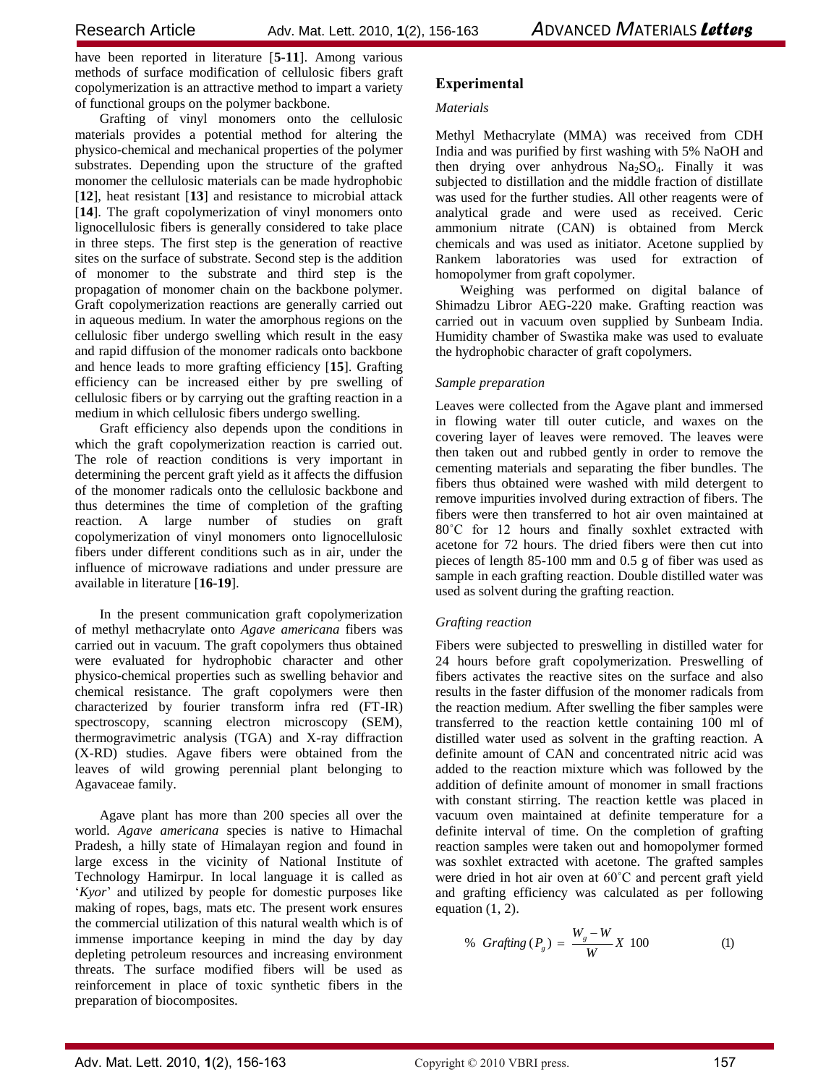have been reported in literature [**5-11**]. Among various methods of surface modification of cellulosic fibers graft copolymerization is an attractive method to impart a variety of functional groups on the polymer backbone.

Grafting of vinyl monomers onto the cellulosic materials provides a potential method for altering the physico-chemical and mechanical properties of the polymer substrates. Depending upon the structure of the grafted monomer the cellulosic materials can be made hydrophobic [**12**], heat resistant [**13**] and resistance to microbial attack [**14**]. The graft copolymerization of vinyl monomers onto lignocellulosic fibers is generally considered to take place in three steps. The first step is the generation of reactive sites on the surface of substrate. Second step is the addition of monomer to the substrate and third step is the propagation of monomer chain on the backbone polymer. Graft copolymerization reactions are generally carried out in aqueous medium. In water the amorphous regions on the cellulosic fiber undergo swelling which result in the easy and rapid diffusion of the monomer radicals onto backbone and hence leads to more grafting efficiency [**15**]. Grafting efficiency can be increased either by pre swelling of cellulosic fibers or by carrying out the grafting reaction in a medium in which cellulosic fibers undergo swelling.

Graft efficiency also depends upon the conditions in which the graft copolymerization reaction is carried out. The role of reaction conditions is very important in determining the percent graft yield as it affects the diffusion of the monomer radicals onto the cellulosic backbone and thus determines the time of completion of the grafting reaction. A large number of studies on graft copolymerization of vinyl monomers onto lignocellulosic fibers under different conditions such as in air, under the influence of microwave radiations and under pressure are available in literature [**16-19**].

In the present communication graft copolymerization of methyl methacrylate onto *Agave americana* fibers was carried out in vacuum. The graft copolymers thus obtained were evaluated for hydrophobic character and other physico-chemical properties such as swelling behavior and chemical resistance. The graft copolymers were then characterized by fourier transform infra red (FT-IR) spectroscopy, scanning electron microscopy (SEM), thermogravimetric analysis (TGA) and X-ray diffraction (X-RD) studies. Agave fibers were obtained from the leaves of wild growing perennial plant belonging to Agavaceae family.

Agave plant has more than 200 species all over the world. *Agave americana* species is native to Himachal Pradesh, a hilly state of Himalayan region and found in large excess in the vicinity of National Institute of Technology Hamirpur. In local language it is called as '*Kyor*' and utilized by people for domestic purposes like making of ropes, bags, mats etc. The present work ensures the commercial utilization of this natural wealth which is of immense importance keeping in mind the day by day depleting petroleum resources and increasing environment threats. The surface modified fibers will be used as reinforcement in place of toxic synthetic fibers in the preparation of biocomposites.

# **Experimental**

# *Materials*

Methyl Methacrylate (MMA) was received from CDH India and was purified by first washing with 5% NaOH and then drying over anhydrous  $Na<sub>2</sub>SO<sub>4</sub>$ . Finally it was subjected to distillation and the middle fraction of distillate was used for the further studies. All other reagents were of analytical grade and were used as received. Ceric ammonium nitrate (CAN) is obtained from Merck chemicals and was used as initiator. Acetone supplied by Rankem laboratories was used for extraction of homopolymer from graft copolymer.

Weighing was performed on digital balance of Shimadzu Libror AEG-220 make. Grafting reaction was carried out in vacuum oven supplied by Sunbeam India. Humidity chamber of Swastika make was used to evaluate the hydrophobic character of graft copolymers.

# *Sample preparation*

Leaves were collected from the Agave plant and immersed in flowing water till outer cuticle, and waxes on the covering layer of leaves were removed. The leaves were then taken out and rubbed gently in order to remove the cementing materials and separating the fiber bundles. The fibers thus obtained were washed with mild detergent to remove impurities involved during extraction of fibers. The fibers were then transferred to hot air oven maintained at 80˚C for 12 hours and finally soxhlet extracted with acetone for 72 hours. The dried fibers were then cut into pieces of length 85-100 mm and 0.5 g of fiber was used as sample in each grafting reaction. Double distilled water was used as solvent during the grafting reaction.

# *Grafting reaction*

Fibers were subjected to preswelling in distilled water for 24 hours before graft copolymerization. Preswelling of fibers activates the reactive sites on the surface and also results in the faster diffusion of the monomer radicals from the reaction medium. After swelling the fiber samples were transferred to the reaction kettle containing 100 ml of distilled water used as solvent in the grafting reaction. A definite amount of CAN and concentrated nitric acid was added to the reaction mixture which was followed by the addition of definite amount of monomer in small fractions with constant stirring. The reaction kettle was placed in vacuum oven maintained at definite temperature for a definite interval of time. On the completion of grafting reaction samples were taken out and homopolymer formed was soxhlet extracted with acetone. The grafted samples were dried in hot air oven at 60˚C and percent graft yield and grafting efficiency was calculated as per following equation (1, 2).

% *Graffing* 
$$
(P_g) = \frac{W_g - W}{W} X
$$
 100 (1)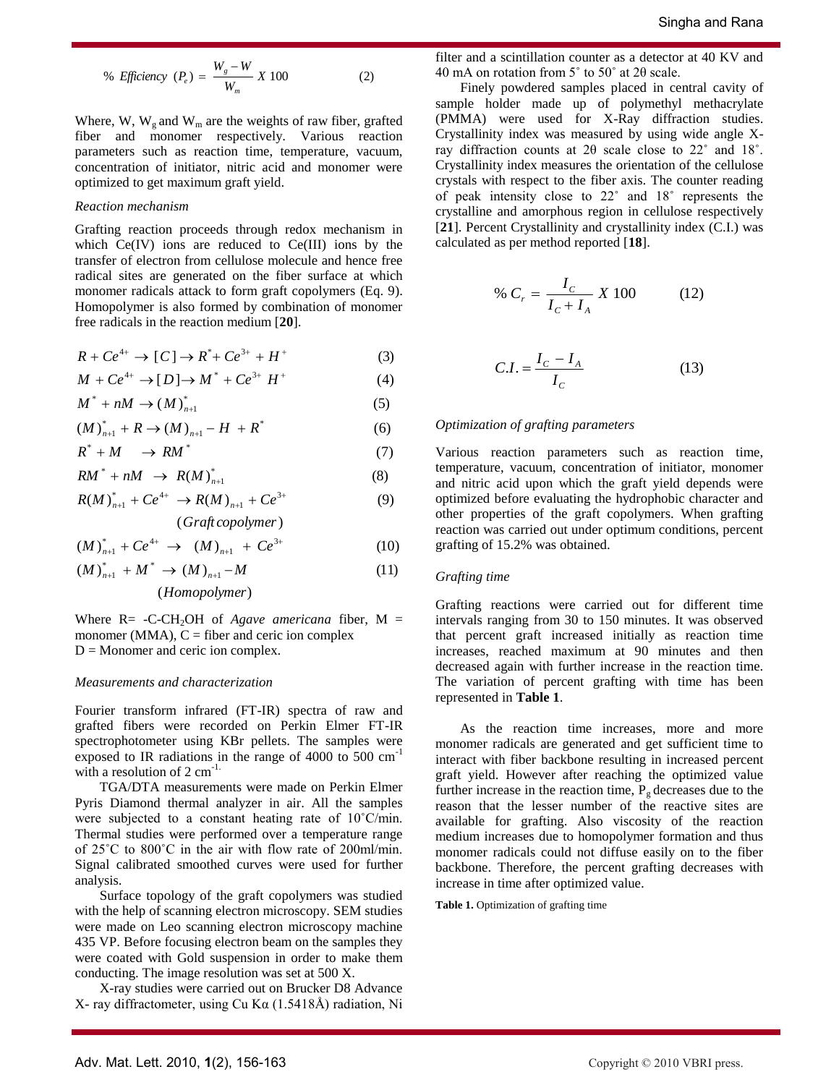% *Efficiency* 
$$
(P_e) = \frac{W_s - W}{W_m} X 100
$$
 (2)

Where, W,  $W_g$  and  $W_m$  are the weights of raw fiber, grafted fiber and monomer respectively. Various reaction parameters such as reaction time, temperature, vacuum, concentration of initiator, nitric acid and monomer were optimized to get maximum graft yield.

### *Reaction mechanism*

Grafting reaction proceeds through redox mechanism in which  $Ce(IV)$  ions are reduced to  $Ce(III)$  ions by the transfer of electron from cellulose molecule and hence free radical sites are generated on the fiber surface at which monomer radicals attack to form graft copolymers (Eq. 9). Homopolymer is also formed by combination of monomer free radicals in the reaction medium [**20**].

$$
R + Ce^{4+} \to [C] \to R^* + Ce^{3+} + H^+ \tag{3}
$$

$$
M + Ce^{4+} \to [D] \to M^* + Ce^{3+} H^+ \tag{4}
$$

$$
M^* + nM \to (M)_{n+1}^* \tag{5}
$$

$$
(M)_{n+1}^* + R \to (M)_{n+1} - H + R^* \tag{6}
$$

$$
R^* + M \longrightarrow RM^* \tag{7}
$$

$$
RM^* + nM \rightarrow R(M)_{n+1}^* \tag{8}
$$

$$
R(M)_{n+1}^* + Ce^{4+} \to R(M)_{n+1} + Ce^{3+}
$$
 (9)

( ) *Graft copolymer*

$$
(M)_{n+1}^* + Ce^{4+} \rightarrow (M)_{n+1} + Ce^{3+} \tag{10}
$$

$$
(M)_{n+1}^* + M^* \to (M)_{n+1} - M \tag{11}
$$

( ) *Homopolymer*

Where  $R = -C-CH_2OH$  of *Agave americana* fiber,  $M =$ monomer (MMA),  $C =$  fiber and ceric ion complex  $D =$ Monomer and ceric ion complex.

### *Measurements and characterization*

Fourier transform infrared (FT-IR) spectra of raw and grafted fibers were recorded on Perkin Elmer FT-IR spectrophotometer using KBr pellets. The samples were exposed to IR radiations in the range of 4000 to 500 cm<sup>-1</sup> with a resolution of  $2 \text{ cm}^{-1}$ .

TGA/DTA measurements were made on Perkin Elmer Pyris Diamond thermal analyzer in air. All the samples were subjected to a constant heating rate of 10˚C/min. Thermal studies were performed over a temperature range of 25˚C to 800˚C in the air with flow rate of 200ml/min. Signal calibrated smoothed curves were used for further analysis.

Surface topology of the graft copolymers was studied with the help of scanning electron microscopy. SEM studies were made on Leo scanning electron microscopy machine 435 VP. Before focusing electron beam on the samples they were coated with Gold suspension in order to make them conducting. The image resolution was set at 500 X.

X-ray studies were carried out on Brucker D8 Advance X- ray diffractometer, using Cu Kα (1.5418Å) radiation, Ni filter and a scintillation counter as a detector at 40 KV and 40 mA on rotation from 5˚ to 50˚ at 2θ scale.

Finely powdered samples placed in central cavity of sample holder made up of polymethyl methacrylate (PMMA) were used for X-Ray diffraction studies. Crystallinity index was measured by using wide angle Xray diffraction counts at 2θ scale close to 22˚ and 18˚. Crystallinity index measures the orientation of the cellulose crystals with respect to the fiber axis. The counter reading of peak intensity close to 22˚ and 18˚ represents the crystalline and amorphous region in cellulose respectively [**21**]. Percent Crystallinity and crystallinity index (C.I.) was calculated as per method reported [**18**].

% 
$$
C_r = \frac{I_c}{I_c + I_A} X 100
$$
 (12)

$$
C.I. = \frac{I_C - I_A}{I_C} \tag{13}
$$

# *Optimization of grafting parameters*

Various reaction parameters such as reaction time, temperature, vacuum, concentration of initiator, monomer and nitric acid upon which the graft yield depends were optimized before evaluating the hydrophobic character and other properties of the graft copolymers. When grafting reaction was carried out under optimum conditions, percent grafting of 15.2% was obtained.

#### *Grafting time*

Grafting reactions were carried out for different time intervals ranging from 30 to 150 minutes. It was observed that percent graft increased initially as reaction time increases, reached maximum at 90 minutes and then decreased again with further increase in the reaction time. The variation of percent grafting with time has been represented in **Table 1**.

As the reaction time increases, more and more monomer radicals are generated and get sufficient time to interact with fiber backbone resulting in increased percent graft yield. However after reaching the optimized value further increase in the reaction time,  $P_g$  decreases due to the reason that the lesser number of the reactive sites are available for grafting. Also viscosity of the reaction medium increases due to homopolymer formation and thus monomer radicals could not diffuse easily on to the fiber backbone. Therefore, the percent grafting decreases with increase in time after optimized value.

**Table 1.** Optimization of grafting time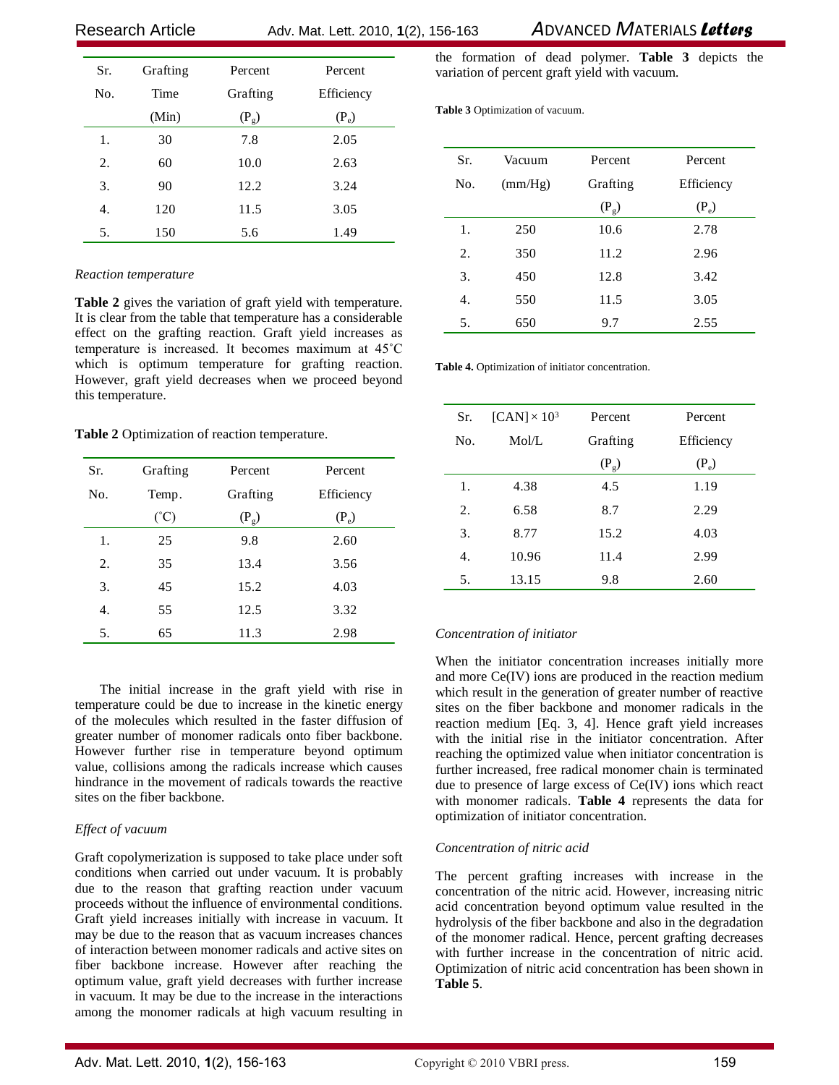Research ArticleAdv. Mat. Lett. 2010, **1**(2), 156-163 *A*DVANCED *M*ATERIALS *Letters*

| Sr. | Grafting | Percent  | Percent    |
|-----|----------|----------|------------|
| No. | Time     | Grafting | Efficiency |
|     | (Min)    | $(P_g)$  | $(P_e)$    |
| 1.  | 30       | 7.8      | 2.05       |
| 2.  | 60       | 10.0     | 2.63       |
| 3.  | 90       | 12.2     | 3.24       |
| 4.  | 120      | 11.5     | 3.05       |
| 5.  | 150      | 5.6      | 1.49       |

# *Reaction temperature*

**Table 2** gives the variation of graft yield with temperature. It is clear from the table that temperature has a considerable effect on the grafting reaction. Graft yield increases as temperature is increased. It becomes maximum at 45˚C which is optimum temperature for grafting reaction. However, graft yield decreases when we proceed beyond this temperature.

**Table 2** Optimization of reaction temperature.

| Sr. | Grafting      | Percent  | Percent    |
|-----|---------------|----------|------------|
| No. | Temp.         | Grafting | Efficiency |
|     | $(^{\circ}C)$ | $(P_g)$  | $(P_e)$    |
| 1.  | 25            | 9.8      | 2.60       |
| 2.  | 35            | 13.4     | 3.56       |
| 3.  | 45            | 15.2     | 4.03       |
| 4.  | 55            | 12.5     | 3.32       |
| 5.  | 65            | 11.3     | 2.98       |

The initial increase in the graft yield with rise in temperature could be due to increase in the kinetic energy of the molecules which resulted in the faster diffusion of greater number of monomer radicals onto fiber backbone. However further rise in temperature beyond optimum value, collisions among the radicals increase which causes hindrance in the movement of radicals towards the reactive sites on the fiber backbone.

# *Effect of vacuum*

Graft copolymerization is supposed to take place under soft conditions when carried out under vacuum. It is probably due to the reason that grafting reaction under vacuum proceeds without the influence of environmental conditions. Graft yield increases initially with increase in vacuum. It may be due to the reason that as vacuum increases chances of interaction between monomer radicals and active sites on fiber backbone increase. However after reaching the optimum value, graft yield decreases with further increase in vacuum. It may be due to the increase in the interactions among the monomer radicals at high vacuum resulting in

the formation of dead polymer. **Table 3** depicts the variation of percent graft yield with vacuum.

**Table 3** Optimization of vacuum.

| Sr. | Vacuum  | Percent  | Percent    |
|-----|---------|----------|------------|
| No. | (mm/Hg) | Grafting | Efficiency |
|     |         | $(P_g)$  | $(P_e)$    |
| 1.  | 250     | 10.6     | 2.78       |
| 2.  | 350     | 11.2     | 2.96       |
| 3.  | 450     | 12.8     | 3.42       |
| 4.  | 550     | 11.5     | 3.05       |
| 5.  | 650     | 9.7      | 2.55       |

**Table 4.** Optimization of initiator concentration.

| Sr. | $[CAN] \times 10^3$ | Percent  | Percent    |
|-----|---------------------|----------|------------|
| No. | Mol/L               | Grafting | Efficiency |
|     |                     | $(P_g)$  | $(P_e)$    |
| 1.  | 4.38                | 4.5      | 1.19       |
| 2.  | 6.58                | 8.7      | 2.29       |
| 3.  | 8.77                | 15.2     | 4.03       |
| 4.  | 10.96               | 11.4     | 2.99       |
| 5.  | 13.15               | 9.8      | 2.60       |

# *Concentration of initiator*

When the initiator concentration increases initially more and more Ce(IV) ions are produced in the reaction medium which result in the generation of greater number of reactive sites on the fiber backbone and monomer radicals in the reaction medium [Eq. 3, 4]. Hence graft yield increases with the initial rise in the initiator concentration. After reaching the optimized value when initiator concentration is further increased, free radical monomer chain is terminated due to presence of large excess of Ce(IV) ions which react with monomer radicals. **Table 4** represents the data for optimization of initiator concentration.

# *Concentration of nitric acid*

The percent grafting increases with increase in the concentration of the nitric acid. However, increasing nitric acid concentration beyond optimum value resulted in the hydrolysis of the fiber backbone and also in the degradation of the monomer radical. Hence, percent grafting decreases with further increase in the concentration of nitric acid. Optimization of nitric acid concentration has been shown in **Table 5**.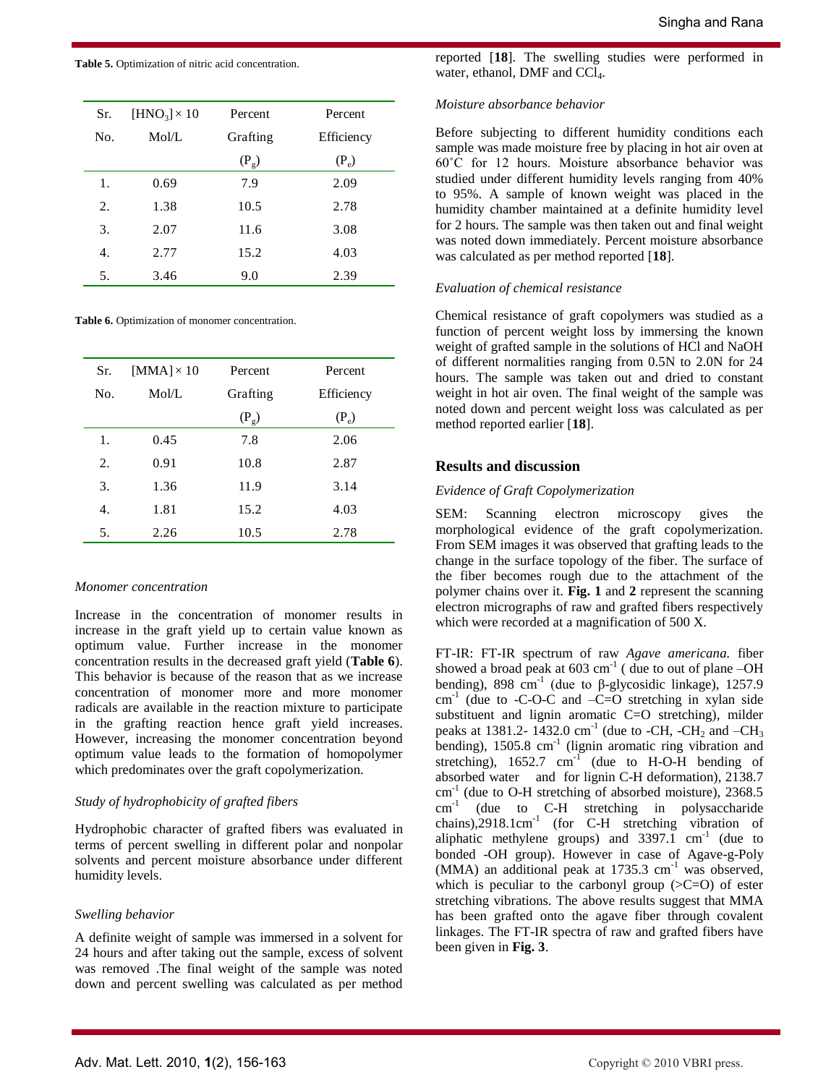**Table 5.** Optimization of nitric acid concentration.

| Sr. | $[HNO3] \times 10$ | Percent                | Percent |
|-----|--------------------|------------------------|---------|
| No. | Mol/L              | Grafting<br>Efficiency |         |
|     |                    | $(P_g)$                | $(P_e)$ |
| 1.  | 0.69               | 7.9                    | 2.09    |
| 2.  | 1.38               | 10.5                   | 2.78    |
| 3.  | 2.07               | 11.6                   | 3.08    |
| 4.  | 2.77               | 15.2                   | 4.03    |
| 5.  | 3.46               | 9.0                    | 2.39    |

**Table 6.** Optimization of monomer concentration.

| Sr. | [MMA] $\times$ 10 | Percent  | Percent    |
|-----|-------------------|----------|------------|
| No. | Mol/L             | Grafting | Efficiency |
|     |                   | $(P_g)$  | $(P_e)$    |
| 1.  | 0.45              | 7.8      | 2.06       |
| 2.  | 0.91              | 10.8     | 2.87       |
| 3.  | 1.36              | 11.9     | 3.14       |
| 4.  | 1.81              | 15.2     | 4.03       |
| 5.  | 2.26              | 10.5     | 2.78       |
|     |                   |          |            |

### *Monomer concentration*

Increase in the concentration of monomer results in increase in the graft yield up to certain value known as optimum value. Further increase in the monomer concentration results in the decreased graft yield (**Table 6**). This behavior is because of the reason that as we increase concentration of monomer more and more monomer radicals are available in the reaction mixture to participate in the grafting reaction hence graft yield increases. However, increasing the monomer concentration beyond optimum value leads to the formation of homopolymer which predominates over the graft copolymerization.

# *Study of hydrophobicity of grafted fibers*

Hydrophobic character of grafted fibers was evaluated in terms of percent swelling in different polar and nonpolar solvents and percent moisture absorbance under different humidity levels.

# *Swelling behavior*

A definite weight of sample was immersed in a solvent for 24 hours and after taking out the sample, excess of solvent was removed .The final weight of the sample was noted down and percent swelling was calculated as per method

reported [**18**]. The swelling studies were performed in water, ethanol, DMF and CCl<sub>4</sub>.

### *Moisture absorbance behavior*

Before subjecting to different humidity conditions each sample was made moisture free by placing in hot air oven at 60˚C for 12 hours. Moisture absorbance behavior was studied under different humidity levels ranging from 40% to 95%. A sample of known weight was placed in the humidity chamber maintained at a definite humidity level for 2 hours. The sample was then taken out and final weight was noted down immediately. Percent moisture absorbance was calculated as per method reported [**18**].

# *Evaluation of chemical resistance*

Chemical resistance of graft copolymers was studied as a function of percent weight loss by immersing the known weight of grafted sample in the solutions of HCl and NaOH of different normalities ranging from 0.5N to 2.0N for 24 hours. The sample was taken out and dried to constant weight in hot air oven. The final weight of the sample was noted down and percent weight loss was calculated as per method reported earlier [**18**].

# **Results and discussion**

# *Evidence of Graft Copolymerization*

SEM: Scanning electron microscopy gives the morphological evidence of the graft copolymerization. From SEM images it was observed that grafting leads to the change in the surface topology of the fiber. The surface of the fiber becomes rough due to the attachment of the polymer chains over it. **Fig. 1** and **2** represent the scanning electron micrographs of raw and grafted fibers respectively which were recorded at a magnification of 500 X.

FT-IR: FT-IR spectrum of raw *Agave americana.* fiber showed a broad peak at  $603 \text{ cm}^{-1}$  (due to out of plane  $-\text{OH}$ ) bending), 898 cm<sup>-1</sup> (due to  $\beta$ -glycosidic linkage), 1257.9  $cm<sup>-1</sup>$  (due to -C-O-C and -C=O stretching in xylan side substituent and lignin aromatic C=O stretching), milder peaks at 1381.2-1432.0 cm<sup>-1</sup> (due to -CH, -CH<sub>2</sub> and -CH<sub>3</sub> bending), 1505.8 cm<sup>-1</sup> (lignin aromatic ring vibration and stretching),  $1652.7$  cm<sup>-1</sup> (due to H-O-H bending of absorbed water and for lignin C-H deformation), 2138.7 cm<sup>-1</sup> (due to O-H stretching of absorbed moisture), 2368.5  $cm^{-1}$ (due to C-H stretching in polysaccharide chains),2918.1cm-1 (for C-H stretching vibration of aliphatic methylene groups) and  $3397.1$  cm<sup>-1</sup> (due to bonded -OH group). However in case of Agave-g-Poly (MMA) an additional peak at 1735.3 cm<sup>-1</sup> was observed, which is peculiar to the carbonyl group  $(\geq C=0)$  of ester stretching vibrations. The above results suggest that MMA has been grafted onto the agave fiber through covalent linkages. The FT-IR spectra of raw and grafted fibers have been given in **Fig. 3**.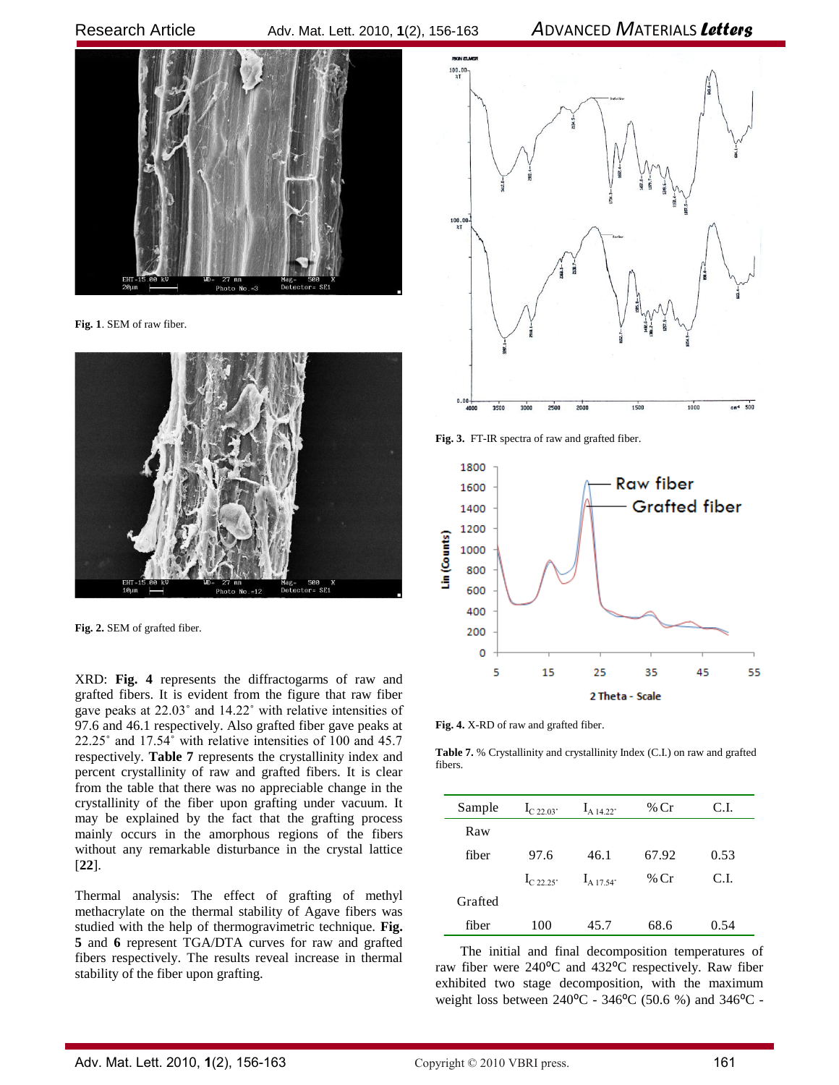

**Fig. 1**. SEM of raw fiber.



**Fig. 2.** SEM of grafted fiber.

XRD: **Fig. 4** represents the diffractogarms of raw and grafted fibers. It is evident from the figure that raw fiber gave peaks at 22.03˚ and 14.22˚ with relative intensities of 97.6 and 46.1 respectively. Also grafted fiber gave peaks at 22.25˚ and 17.54˚ with relative intensities of 100 and 45.7 respectively. **Table 7** represents the crystallinity index and percent crystallinity of raw and grafted fibers. It is clear from the table that there was no appreciable change in the crystallinity of the fiber upon grafting under vacuum. It may be explained by the fact that the grafting process mainly occurs in the amorphous regions of the fibers without any remarkable disturbance in the crystal lattice [**22**].

Thermal analysis: The effect of grafting of methyl methacrylate on the thermal stability of Agave fibers was studied with the help of thermogravimetric technique. **Fig. 5** and **6** represent TGA/DTA curves for raw and grafted fibers respectively. The results reveal increase in thermal stability of the fiber upon grafting.



**Fig. 3.** FT-IR spectra of raw and grafted fiber.



**Fig. 4.** X-RD of raw and grafted fiber.

**Table 7.** % Crystallinity and crystallinity Index (C.I.) on raw and grafted fibers.

| Sample  | $I_{C,22,03}$           | $I_{A}$ 14 22°       | % $Cr$ | C.I.  |
|---------|-------------------------|----------------------|--------|-------|
| Raw     |                         |                      |        |       |
| fiber   | 97.6                    | 46.1                 | 67.92  | 0.53  |
|         | $I_{C, 22, 25^{\circ}}$ | I <sub>A 17 54</sub> | $%$ Cr | C.I.  |
| Grafted |                         |                      |        |       |
| fiber   | 100                     | 45.7                 | 68.6   | () 54 |

The initial and final decomposition temperatures of raw fiber were 240<sup>o</sup>C and 432<sup>o</sup>C respectively. Raw fiber exhibited two stage decomposition, with the maximum weight loss between  $240^{\circ}$ C - 346<sup>o</sup>C (50.6 %) and 346<sup>o</sup>C -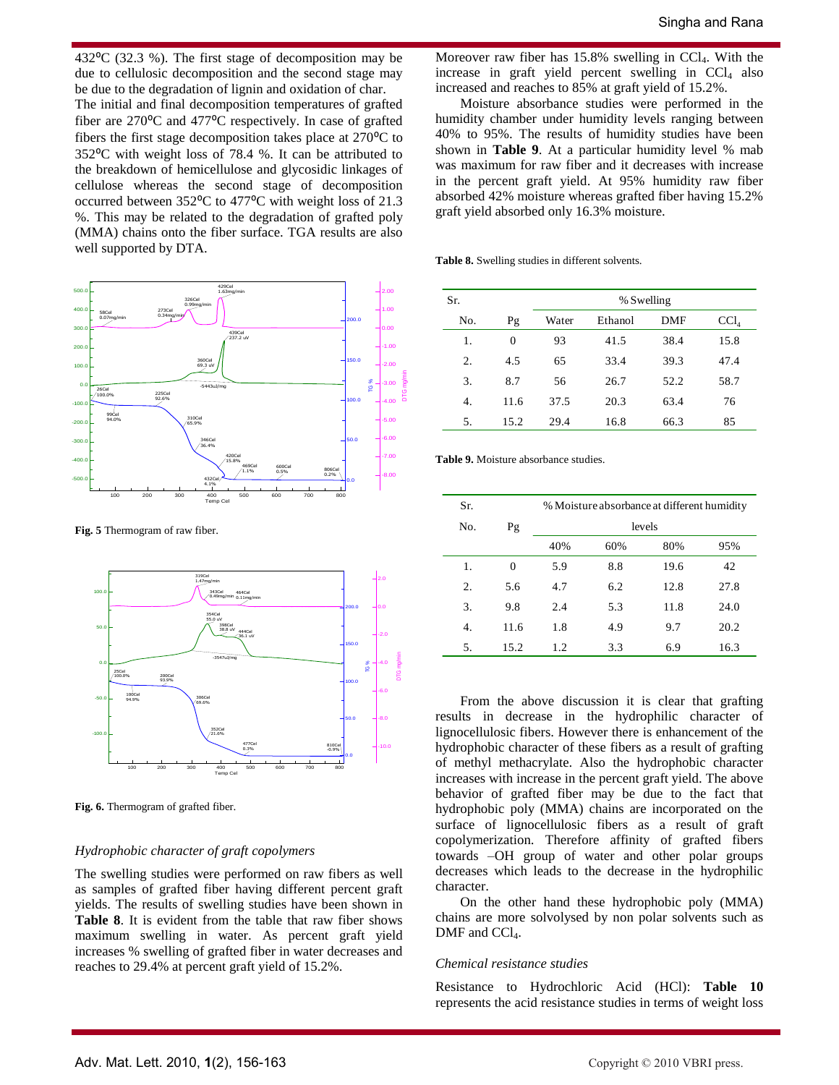432 $^{\circ}$ C (32.3 %). The first stage of decomposition may be due to cellulosic decomposition and the second stage may be due to the degradation of lignin and oxidation of char.

The initial and final decomposition temperatures of grafted fiber are 270°C and 477°C respectively. In case of grafted fibers the first stage decomposition takes place at  $270^{\circ}$ C to 352⁰C with weight loss of 78.4 %. It can be attributed to the breakdown of hemicellulose and glycosidic linkages of cellulose whereas the second stage of decomposition occurred between 352<sup>o</sup>C to 477<sup>o</sup>C with weight loss of 21.3 %. This may be related to the degradation of grafted poly (MMA) chains onto the fiber surface. TGA results are also well supported by DTA.



**Fig. 5** Thermogram of raw fiber.



**Fig. 6.** Thermogram of grafted fiber.

### *Hydrophobic character of graft copolymers*

The swelling studies were performed on raw fibers as well as samples of grafted fiber having different percent graft yields. The results of swelling studies have been shown in **Table 8**. It is evident from the table that raw fiber shows maximum swelling in water. As percent graft yield increases % swelling of grafted fiber in water decreases and reaches to 29.4% at percent graft yield of 15.2%.

Moreover raw fiber has  $15.8\%$  swelling in CCl<sub>4</sub>. With the increase in graft yield percent swelling in  $CCl<sub>4</sub>$  also increased and reaches to 85% at graft yield of 15.2%.

Moisture absorbance studies were performed in the humidity chamber under humidity levels ranging between 40% to 95%. The results of humidity studies have been shown in **Table 9**. At a particular humidity level % mab was maximum for raw fiber and it decreases with increase in the percent graft yield. At 95% humidity raw fiber absorbed 42% moisture whereas grafted fiber having 15.2% graft yield absorbed only 16.3% moisture.

**Table 8.** Swelling studies in different solvents.

| Sr. |          |       | % Swelling |      |                  |
|-----|----------|-------|------------|------|------------------|
| No. | Pg       | Water | Ethanol    | DMF  | CCl <sub>4</sub> |
| 1.  | $\Omega$ | 93    | 41.5       | 38.4 | 15.8             |
| 2.  | 4.5      | 65    | 33.4       | 39.3 | 47.4             |
| 3.  | 8.7      | 56    | 26.7       | 52.2 | 58.7             |
| 4.  | 11.6     | 37.5  | 20.3       | 63.4 | 76               |
| 5.  | 15.2     | 29.4  | 16.8       | 66.3 | 85               |

-7.00 **Table 9.** Moisture absorbance studies.

| Sr. |          | % Moisture absorbance at different humidity |     |      |      |
|-----|----------|---------------------------------------------|-----|------|------|
| No. | Pg       | levels                                      |     |      |      |
|     |          | 40%                                         | 60% | 80%  | 95%  |
| 1.  | $\theta$ | 5.9                                         | 8.8 | 19.6 | 42   |
| 2.  | 5.6      | 4.7                                         | 6.2 | 12.8 | 27.8 |
| 3.  | 9.8      | 2.4                                         | 5.3 | 11.8 | 24.0 |
| 4.  | 11.6     | 1.8                                         | 4.9 | 9.7  | 20.2 |
| 5.  | 15.2     | 1.2                                         | 3.3 | 6.9  | 16.3 |

From the above discussion it is clear that grafting results in decrease in the hydrophilic character of lignocellulosic fibers. However there is enhancement of the hydrophobic character of these fibers as a result of grafting of methyl methacrylate. Also the hydrophobic character increases with increase in the percent graft yield. The above behavior of grafted fiber may be due to the fact that hydrophobic poly (MMA) chains are incorporated on the surface of lignocellulosic fibers as a result of graft copolymerization. Therefore affinity of grafted fibers towards –OH group of water and other polar groups decreases which leads to the decrease in the hydrophilic character.

On the other hand these hydrophobic poly (MMA) chains are more solvolysed by non polar solvents such as  $DMF$  and  $CCl<sub>4</sub>$ .

### *Chemical resistance studies*

Resistance to Hydrochloric Acid (HCl): **Table 10** represents the acid resistance studies in terms of weight loss